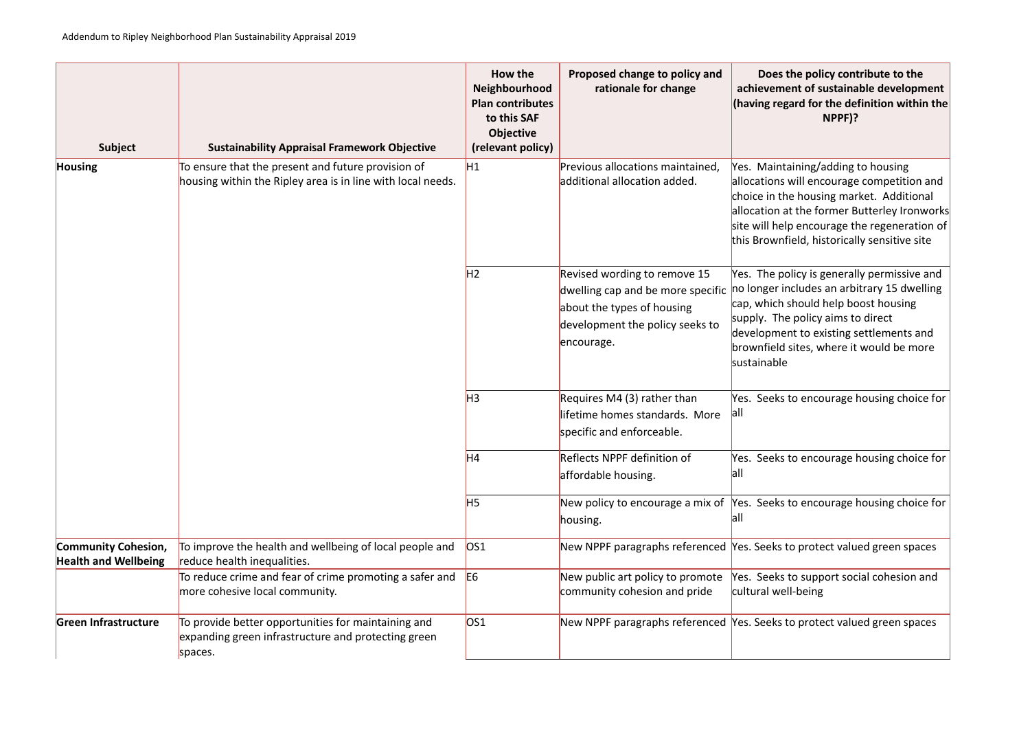## **Boar the policy contribute to the achievement of sustainable development (egard for the definition within the NPPF)?**

intaining/adding to housing ns will encourage competition and the housing market. Additional n at the former Butterley Ironworks help encourage the regeneration of vnfield, historically sensitive site

policy is generally permissive and includes an arbitrary 15 dwelling ch should help boost housing The policy aims to direct ment to existing settlements and ld sites, where it would be more ole

ks to encourage housing choice for

ks to encourage housing choice for

ks to encourage housing choice for

ks to protect valued green spaces

ks to support social cohesion and well-being

ks to protect valued green spaces

| <b>Subject</b>                                            | <b>Sustainability Appraisal Framework Objective</b>                                                                   | How the<br>Neighbourhood<br><b>Plan contributes</b><br>to this SAF<br><b>Objective</b><br>(relevant policy) | Proposed change to policy and<br>rationale for change                                                                                            | <b>Doe</b><br>achiever<br>(having r                                                   |
|-----------------------------------------------------------|-----------------------------------------------------------------------------------------------------------------------|-------------------------------------------------------------------------------------------------------------|--------------------------------------------------------------------------------------------------------------------------------------------------|---------------------------------------------------------------------------------------|
| <b>Housing</b>                                            | To ensure that the present and future provision of<br>housing within the Ripley area is in line with local needs.     | H1                                                                                                          | Previous allocations maintained,<br>additional allocation added.                                                                                 | Yes. Mair<br>allocatior<br>choice in<br>allocatior<br>site will h<br>this Brow        |
|                                                           |                                                                                                                       | H2                                                                                                          | Revised wording to remove 15<br>dwelling cap and be more specific<br>about the types of housing<br>development the policy seeks to<br>encourage. | Yes. The<br>no longer<br>cap, whic<br>supply. T<br>developm<br>brownfiel<br>sustainab |
|                                                           |                                                                                                                       | H <sub>3</sub>                                                                                              | Requires M4 (3) rather than<br>lifetime homes standards. More<br>specific and enforceable.                                                       | Yes. Seek<br><b>all</b>                                                               |
|                                                           |                                                                                                                       | H4                                                                                                          | <b>Reflects NPPF definition of</b><br>affordable housing.                                                                                        | Yes. Seek<br> all                                                                     |
|                                                           |                                                                                                                       | H5                                                                                                          | New policy to encourage a mix of Yes. Seek<br>housing.                                                                                           | <b>all</b>                                                                            |
| <b>Community Cohesion,</b><br><b>Health and Wellbeing</b> | To improve the health and wellbeing of local people and<br>reduce health inequalities.                                | OS1                                                                                                         | New NPPF paragraphs referenced Yes. Seek                                                                                                         |                                                                                       |
|                                                           | To reduce crime and fear of crime promoting a safer and<br>more cohesive local community.                             | E <sub>6</sub>                                                                                              | New public art policy to promote<br>community cohesion and pride                                                                                 | Yes. Seek<br>cultural w                                                               |
| Green Infrastructure                                      | To provide better opportunities for maintaining and<br>expanding green infrastructure and protecting green<br>spaces. | OS1                                                                                                         | New NPPF paragraphs referenced Yes. Seek                                                                                                         |                                                                                       |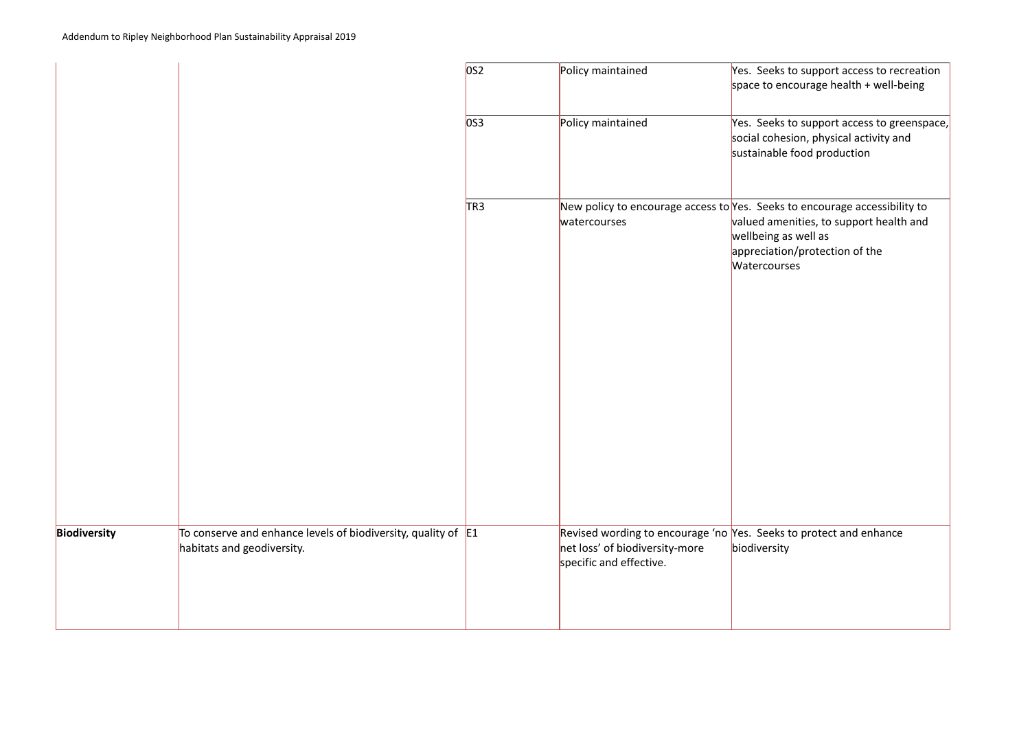|                     |                                                                                               | OS2             | Policy maintained                                                                                      | Yes. See<br>space to                        |
|---------------------|-----------------------------------------------------------------------------------------------|-----------------|--------------------------------------------------------------------------------------------------------|---------------------------------------------|
|                     |                                                                                               | OS3             | Policy maintained                                                                                      | Yes. See<br>social co<br>sustaina           |
|                     |                                                                                               | TR <sub>3</sub> | New policy to encourage access to Yes. See<br>watercourses                                             | valued a<br>wellbein<br>apprecia<br>Waterco |
| <b>Biodiversity</b> | To conserve and enhance levels of biodiversity, quality of $E1$<br>habitats and geodiversity. |                 | Revised wording to encourage 'no Yes. See<br>net loss' of biodiversity-more<br>specific and effective. | biodivers                                   |

eks to support access to recreation encourage health + well-being

eks to support access to greenspace, ohesion, physical activity and able food production

eks to encourage accessibility to amenities, to support health and าg as well as ation/protection of the purses

eks to protect and enhance rsity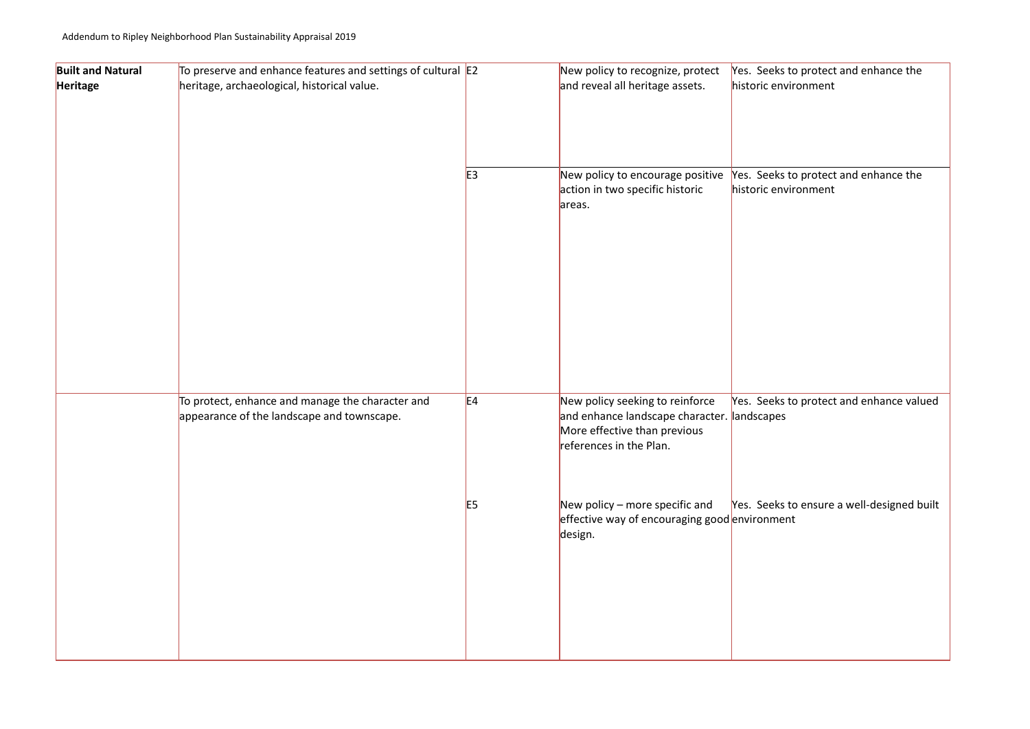| <b>Built and Natural</b> | To preserve and enhance features and settings of cultural E2                                   |                | New policy to recognize, protect                                                                                                         | Yes. Seek  |
|--------------------------|------------------------------------------------------------------------------------------------|----------------|------------------------------------------------------------------------------------------------------------------------------------------|------------|
| Heritage                 | heritage, archaeological, historical value.                                                    |                | and reveal all heritage assets.                                                                                                          | historic e |
|                          |                                                                                                | E <sub>3</sub> |                                                                                                                                          | Yes. Seek  |
|                          |                                                                                                |                | New policy to encourage positive<br>action in two specific historic<br>areas.                                                            | historic e |
|                          |                                                                                                |                |                                                                                                                                          |            |
|                          |                                                                                                |                |                                                                                                                                          |            |
|                          |                                                                                                |                |                                                                                                                                          |            |
|                          | To protect, enhance and manage the character and<br>appearance of the landscape and townscape. | E4             | New policy seeking to reinforce<br>and enhance landscape character. landscape<br>More effective than previous<br>references in the Plan. | Yes. Seek  |
|                          |                                                                                                | E <sub>5</sub> | New policy $-$ more specific and<br>effective way of encouraging good environm<br>design.                                                | Yes. Seek  |
|                          |                                                                                                |                |                                                                                                                                          |            |
|                          |                                                                                                |                |                                                                                                                                          |            |

## ks to protect and enhance the environment

ks to protect and enhance the environment

ks to protect and enhance valued es

ks to ensure a well-designed built nent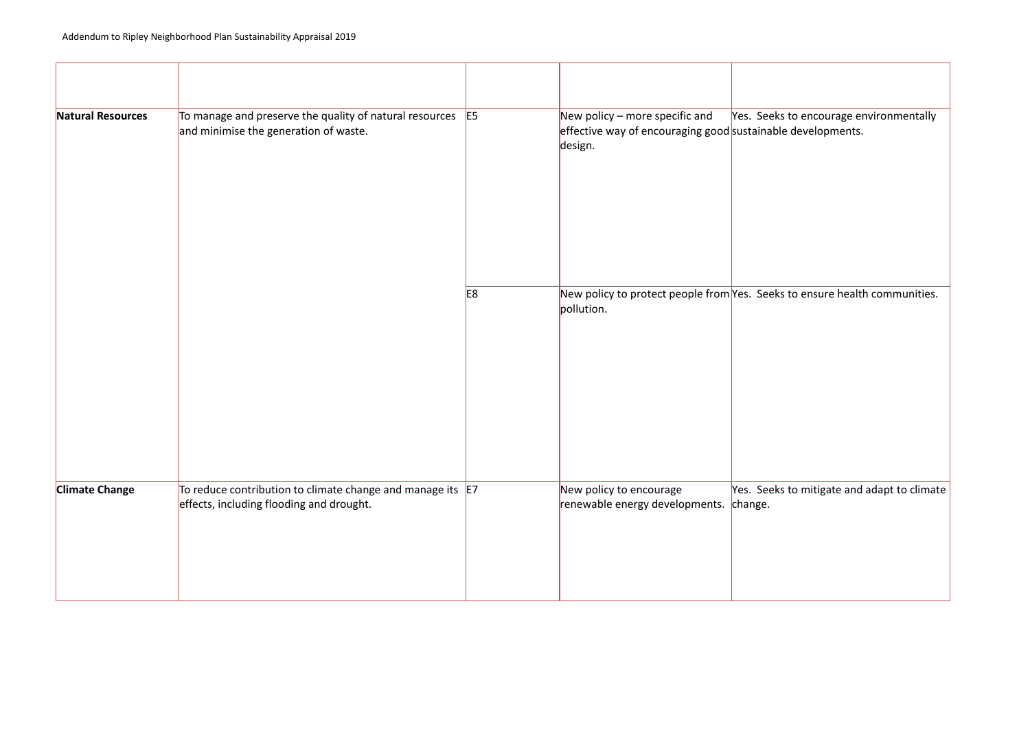| Natural Resources     | To manage and preserve the quality of natural resources<br>and minimise the generation of waste.    | E <sub>5</sub> | New policy $-$ more specific and<br>effective way of encouraging good sustainat<br>design. | Yes. Seel            |
|-----------------------|-----------------------------------------------------------------------------------------------------|----------------|--------------------------------------------------------------------------------------------|----------------------|
|                       |                                                                                                     | E <sub>8</sub> | New policy to protect people from Yes. Seel<br>pollution.                                  |                      |
| <b>Climate Change</b> | To reduce contribution to climate change and manage its<br>effects, including flooding and drought. | E7             | New policy to encourage<br>renewable energy developments.                                  | Yes. Seel<br>change. |

ks to encourage environmentally ble developments.

ks to ensure health communities.

ks to mitigate and adapt to climate